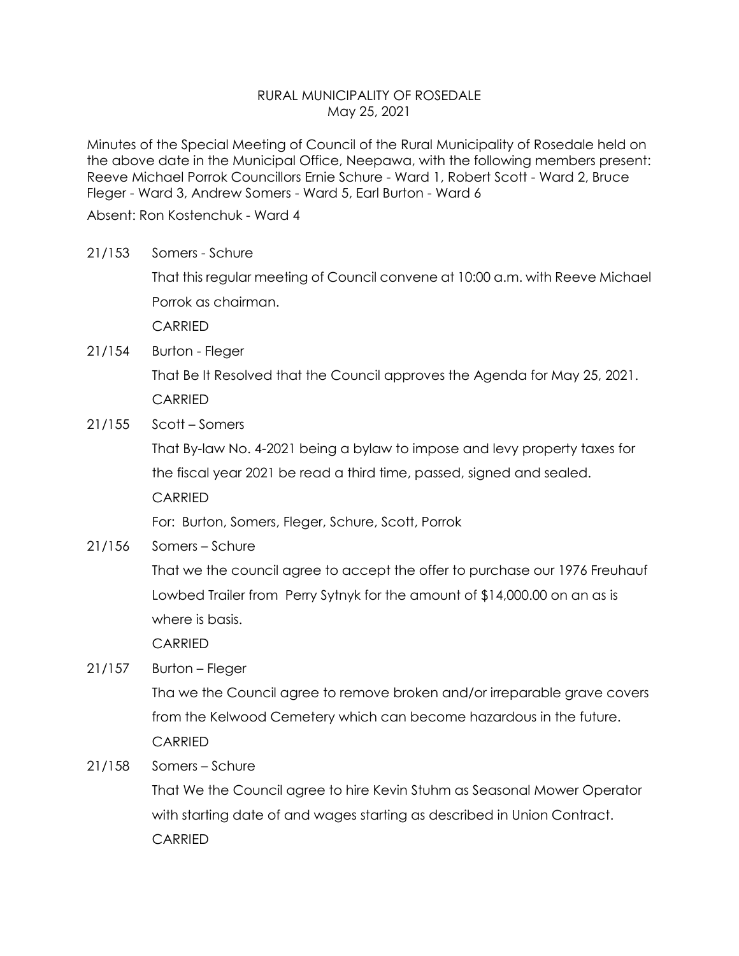## RURAL MUNICIPALITY OF ROSEDALE May 25, 2021

Minutes of the Special Meeting of Council of the Rural Municipality of Rosedale held on the above date in the Municipal Office, Neepawa, with the following members present: Reeve Michael Porrok Councillors Ernie Schure - Ward 1, Robert Scott - Ward 2, Bruce Fleger - Ward 3, Andrew Somers - Ward 5, Earl Burton - Ward 6

Absent: Ron Kostenchuk - Ward 4

21/153 Somers - Schure

That this regular meeting of Council convene at 10:00 a.m. with Reeve Michael Porrok as chairman.

CARRIED

21/154 Burton - Fleger

That Be It Resolved that the Council approves the Agenda for May 25, 2021. CARRIED

21/155 Scott – Somers

That By-law No. 4-2021 being a bylaw to impose and levy property taxes for the fiscal year 2021 be read a third time, passed, signed and sealed.

CARRIED

For: Burton, Somers, Fleger, Schure, Scott, Porrok

21/156 Somers – Schure

That we the council agree to accept the offer to purchase our 1976 Freuhauf Lowbed Trailer from Perry Sytnyk for the amount of \$14,000.00 on an as is where is basis.

CARRIED

21/157 Burton – Fleger

Tha we the Council agree to remove broken and/or irreparable grave covers from the Kelwood Cemetery which can become hazardous in the future. CARRIED

21/158 Somers – Schure

That We the Council agree to hire Kevin Stuhm as Seasonal Mower Operator with starting date of and wages starting as described in Union Contract. CARRIED